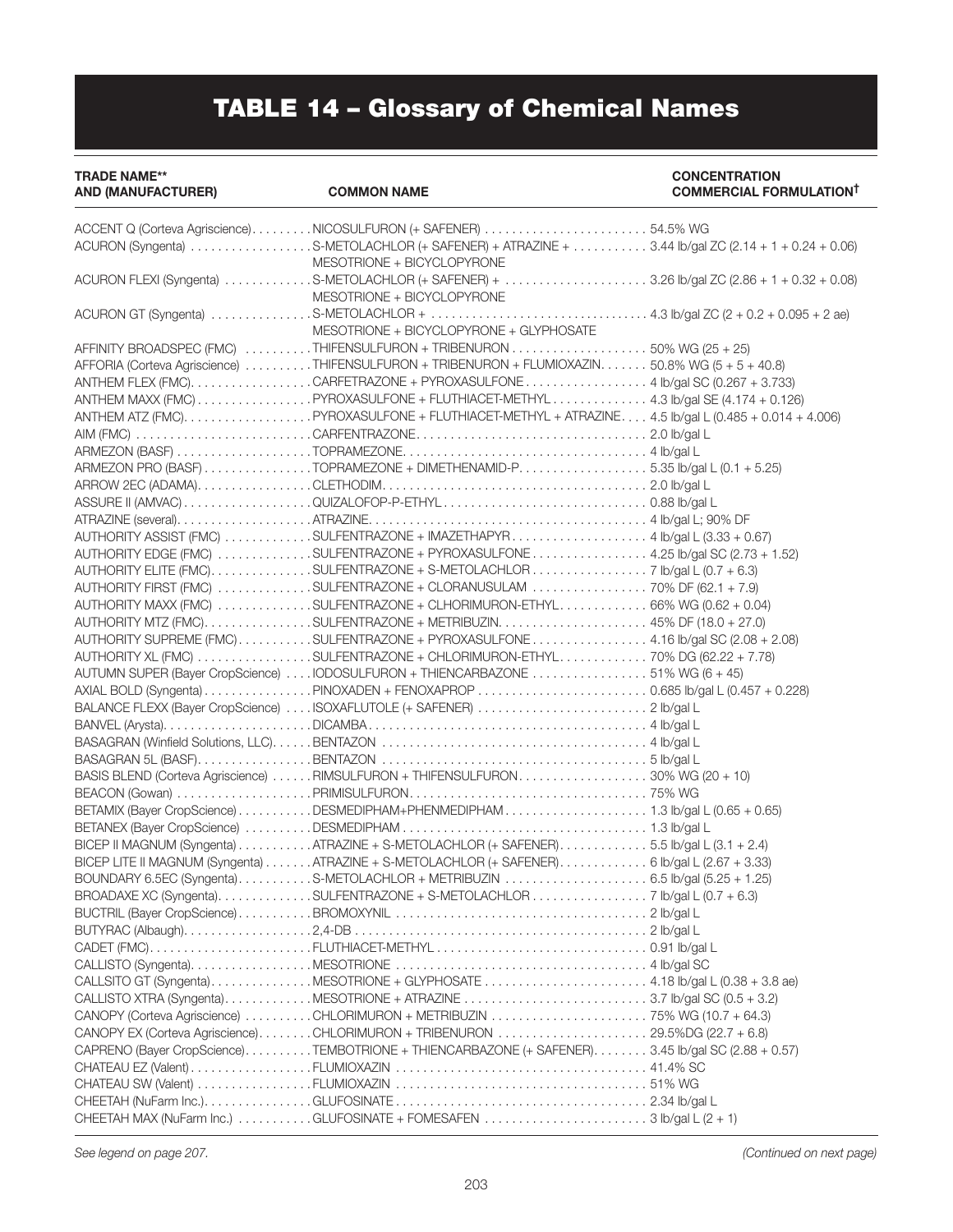## TABLE 14 – Glossary of Chemical Names

TRADE NAME\*\* CONCENTRATION

COMMERCIAL FORMULATION<sup>†</sup>

| ACCENT Q (Corteva Agriscience)NICOSULFURON (+ SAFENER) 54.5% WG                                   |  |
|---------------------------------------------------------------------------------------------------|--|
| ACURON (Syngenta) S-METOLACHLOR (+ SAFENER) + ATRAZINE + 3.44 lb/gal ZC (2.14 + 1 + 0.24 + 0.06)  |  |
| MESOTRIONE + BICYCLOPYRONE                                                                        |  |
| ACURON FLEXI (Syngenta) S-METOLACHLOR (+ SAFENER) + 3.26 lb/gal ZC (2.86 + 1 + 0.32 + 0.08)       |  |
| MESOTRIONE + BICYCLOPYRONE                                                                        |  |
|                                                                                                   |  |
| MESOTRIONE + BICYCLOPYRONE + GLYPHOSATE                                                           |  |
| AFFINITY BROADSPEC (FMC) THIFENSULFURON + TRIBENURON 50% WG (25 + 25)                             |  |
| AFFORIA (Corteva Agriscience) THIFENSULFURON + TRIBENURON + FLUMIOXAZIN 50.8% WG (5 + 5 + 40.8)   |  |
| ANTHEM FLEX (FMC). CARFETRAZONE + PYROXASULFONE 4 lb/gal SC (0.267 + 3.733)                       |  |
| ANTHEM MAXX (FMC) PYROXASULFONE + FLUTHIACET-METHYL 4.3 lb/gal SE (4.174 + 0.126)                 |  |
| ANTHEM ATZ (FMC)PYROXASULFONE + FLUTHIACET-METHYL + ATRAZINE 4.5 lb/gal L (0.485 + 0.014 + 4.006) |  |
|                                                                                                   |  |
|                                                                                                   |  |
| ARMEZON PRO (BASF) TOPRAMEZONE + DIMETHENAMID-P5.35 lb/gal L (0.1 + 5.25)                         |  |
|                                                                                                   |  |
|                                                                                                   |  |
|                                                                                                   |  |
| AUTHORITY ASSIST (FMC) SULFENTRAZONE + IMAZETHAPYR4 Ib/gal L (3.33 + 0.67)                        |  |
|                                                                                                   |  |
| AUTHORITY EDGE (FMC) SULFENTRAZONE + PYROXASULFONE  4.25 lb/gal SC (2.73 + 1.52)                  |  |
| AUTHORITY ELITE (FMC)SULFENTRAZONE + S-METOLACHLOR7 lb/gal L (0.7 + 6.3)                          |  |
| AUTHORITY FIRST (FMC) SULFENTRAZONE + CLORANUSULAM 70% DF (62.1 + 7.9)                            |  |
| AUTHORITY MAXX (FMC) SULFENTRAZONE + CLHORIMURON-ETHYL 66% WG (0.62 + 0.04)                       |  |
| AUTHORITY MTZ (FMC). SULFENTRAZONE + METRIBUZIN. 45% DF (18.0 + 27.0)                             |  |
| AUTHORITY SUPREME (FMC)SULFENTRAZONE + PYROXASULFONE4.16 lb/gal SC (2.08 + 2.08)                  |  |
| AUTHORITY XL (FMC) SULFENTRAZONE + CHLORIMURON-ETHYL 70% DG (62.22 + 7.78)                        |  |
| AUTUMN SUPER (Bayer CropScience) IODOSULFURON + THIENCARBAZONE 51% WG (6 + 45)                    |  |
|                                                                                                   |  |
| BALANCE FLEXX (Bayer CropScience)  ISOXAFLUTOLE (+ SAFENER)  2 lb/gal L                           |  |
|                                                                                                   |  |
|                                                                                                   |  |
|                                                                                                   |  |
| BASIS BLEND (Corteva Agriscience) RIMSULFURON + THIFENSULFURON30% WG (20 + 10)                    |  |
|                                                                                                   |  |
| BETAMIX (Bayer CropScience) DESMEDIPHAM+PHENMEDIPHAM 1.3 lb/gal L (0.65 + 0.65)                   |  |
|                                                                                                   |  |
| BICEP II MAGNUM (Syngenta) ATRAZINE + S-METOLACHLOR (+ SAFENER) 5.5 lb/gal L (3.1 + 2.4)          |  |
|                                                                                                   |  |
| BICEP LITE II MAGNUM (Syngenta) ATRAZINE + S-METOLACHLOR (+ SAFENER) 6 lb/gal L (2.67 + 3.33)     |  |
|                                                                                                   |  |
| BROADAXE XC (Syngenta)SULFENTRAZONE + S-METOLACHLOR7 lb/gal L (0.7 + 6.3)                         |  |
|                                                                                                   |  |
|                                                                                                   |  |
|                                                                                                   |  |
|                                                                                                   |  |
|                                                                                                   |  |
|                                                                                                   |  |
|                                                                                                   |  |
| CANOPY EX (Corteva Agriscience)CHLORIMURON + TRIBENURON 29.5%DG (22.7 + 6.8)                      |  |
| CAPRENO (Bayer CropScience)TEMBOTRIONE + THIENCARBAZONE (+ SAFENER)3.45 lb/gal SC (2.88 + 0.57)   |  |
|                                                                                                   |  |
|                                                                                                   |  |
|                                                                                                   |  |
| CHEETAH MAX (NuFarm Inc.) GLUFOSINATE + FOMESAFEN 3 lb/gal L (2 + 1)                              |  |
|                                                                                                   |  |

*See legend on page 207.*

*(Continued on next page)*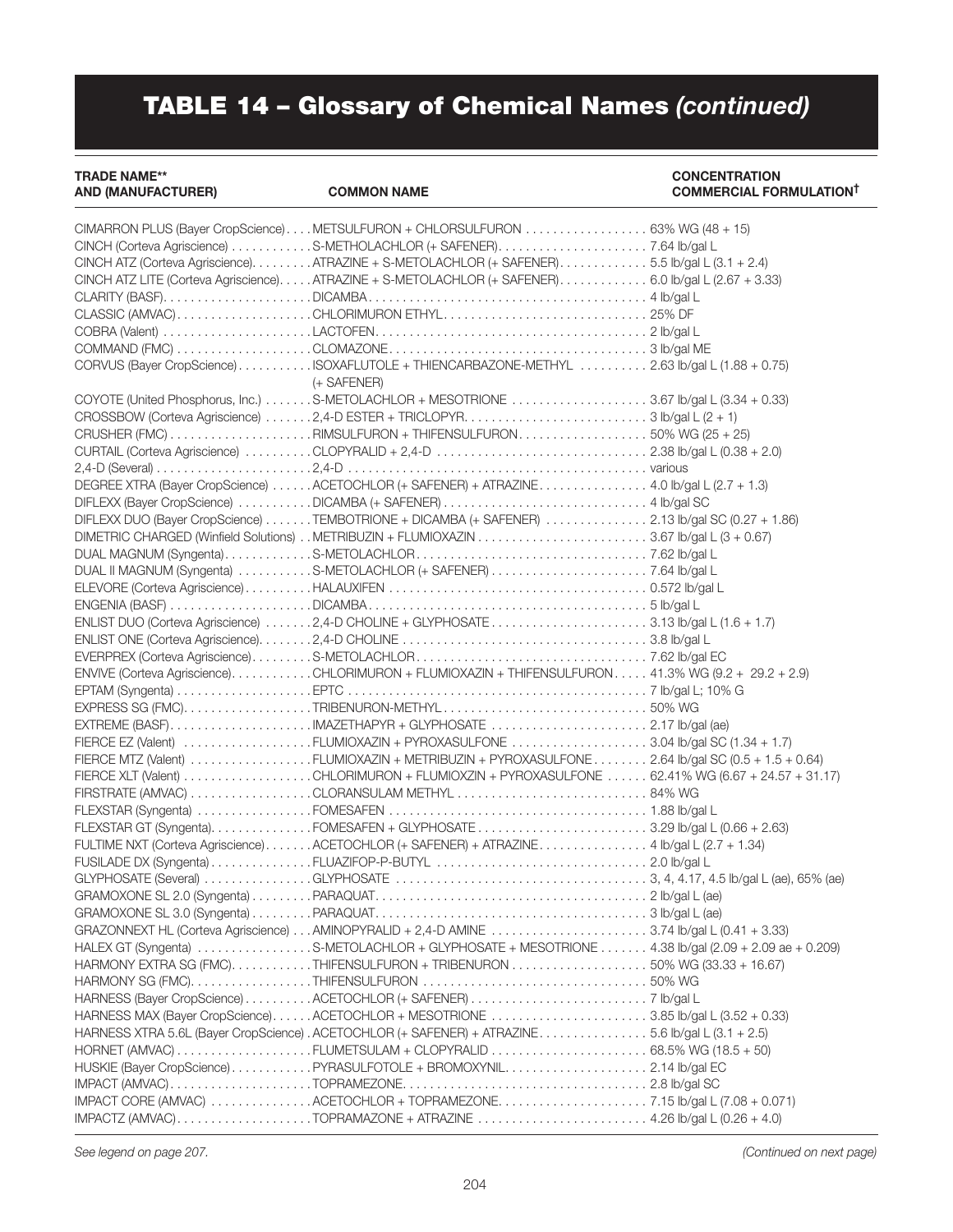### TRADE NAME\*\* CONCENTRATION

#### COMMERCIAL FORMULATION<sup>†</sup>

| CINCH ATZ (Corteva Agriscience). ATRAZINE + S-METOLACHLOR (+ SAFENER). 5.5 lb/gal L (3.1 + 2.4)     |  |
|-----------------------------------------------------------------------------------------------------|--|
| CINCH ATZ LITE (Corteva Agriscience)ATRAZINE + S-METOLACHLOR (+ SAFENER) 6.0 lb/gal L (2.67 + 3.33) |  |
|                                                                                                     |  |
| CLASSIC (AMVAC)CHLORIMURON ETHYL25% DF                                                              |  |
|                                                                                                     |  |
|                                                                                                     |  |
| CORVUS (Bayer CropScience)ISOXAFLUTOLE + THIENCARBAZONE-METHYL 2.63 lb/gal L (1.88 + 0.75)          |  |
| (+ SAFENER)                                                                                         |  |
| COYOTE (United Phosphorus, Inc.) S-METOLACHLOR + MESOTRIONE 3.67 lb/gal L (3.34 + 0.33)             |  |
| CROSSBOW (Corteva Agriscience) 2,4-D ESTER + TRICLOPYR3 lb/gal L (2 + 1)                            |  |
| CRUSHER (FMC) RIMSULFURON + THIFENSULFURON50% WG (25 + 25)                                          |  |
|                                                                                                     |  |
|                                                                                                     |  |
|                                                                                                     |  |
| DEGREE XTRA (Bayer CropScience) ACETOCHLOR (+ SAFENER) + ATRAZINE 4.0 lb/gal L (2.7 + 1.3)          |  |
|                                                                                                     |  |
| DIFLEXX DUO (Bayer CropScience) TEMBOTRIONE + DICAMBA (+ SAFENER) 2.13 lb/gal SC (0.27 + 1.86)      |  |
|                                                                                                     |  |
|                                                                                                     |  |
|                                                                                                     |  |
|                                                                                                     |  |
|                                                                                                     |  |
| ENLIST DUO (Corteva Agriscience) 2,4-D CHOLINE + GLYPHOSATE 3.13 lb/gal L (1.6 + 1.7)               |  |
|                                                                                                     |  |
|                                                                                                     |  |
| ENVIVE (Corteva Agriscience)CHLORIMURON + FLUMIOXAZIN + THIFENSULFURON 41.3% WG (9.2 + 29.2 + 2.9)  |  |
|                                                                                                     |  |
|                                                                                                     |  |
|                                                                                                     |  |
| FIERCE EZ (Valent) FLUMIOXAZIN + PYROXASULFONE 3.04 lb/gal SC (1.34 + 1.7)                          |  |
| FIERCE MTZ (Valent) FLUMIOXAZIN + METRIBUZIN + PYROXASULFONE  2.64 lb/gal SC (0.5 + 1.5 + 0.64)     |  |
| FIERCE XLT (Valent) CHLORIMURON + FLUMIOXZIN + PYROXASULFONE  62.41% WG (6.67 + 24.57 + 31.17)      |  |
|                                                                                                     |  |
|                                                                                                     |  |
|                                                                                                     |  |
| FULTIME NXT (Corteva Agriscience)ACETOCHLOR (+ SAFENER) + ATRAZINE 4 lb/gal L (2.7 + 1.34)          |  |
|                                                                                                     |  |
|                                                                                                     |  |
|                                                                                                     |  |
|                                                                                                     |  |
|                                                                                                     |  |
|                                                                                                     |  |
| HALEX GT (Syngenta) S-METOLACHLOR + GLYPHOSATE + MESOTRIONE  4.38 lb/gal (2.09 + 2.09 ae + 0.209)   |  |
| HARMONY EXTRA SG (FMC)THIFENSULFURON + TRIBENURON 50% WG (33.33 + 16.67)                            |  |
|                                                                                                     |  |
|                                                                                                     |  |
| HARNESS MAX (Bayer CropScience)ACETOCHLOR + MESOTRIONE 3.85 lb/gal L (3.52 + 0.33)                  |  |
| HARNESS XTRA 5.6L (Bayer CropScience) . ACETOCHLOR (+ SAFENER) + ATRAZINE. 5.6 lb/gal L (3.1 + 2.5) |  |
|                                                                                                     |  |
| HUSKIE (Bayer CropScience)PYRASULFOTOLE + BROMOXYNIL2.14 lb/gal EC                                  |  |
|                                                                                                     |  |
| IMPACT CORE (AMVAC) ACETOCHLOR + TOPRAMEZONE7.15 lb/gal L (7.08 + 0.071)                            |  |
| IMPACTZ (AMVAC)TOPRAMAZONE + ATRAZINE  4.26 Ib/gal L (0.26 + 4.0)                                   |  |
|                                                                                                     |  |

*See legend on page 207. (Continued on next page)*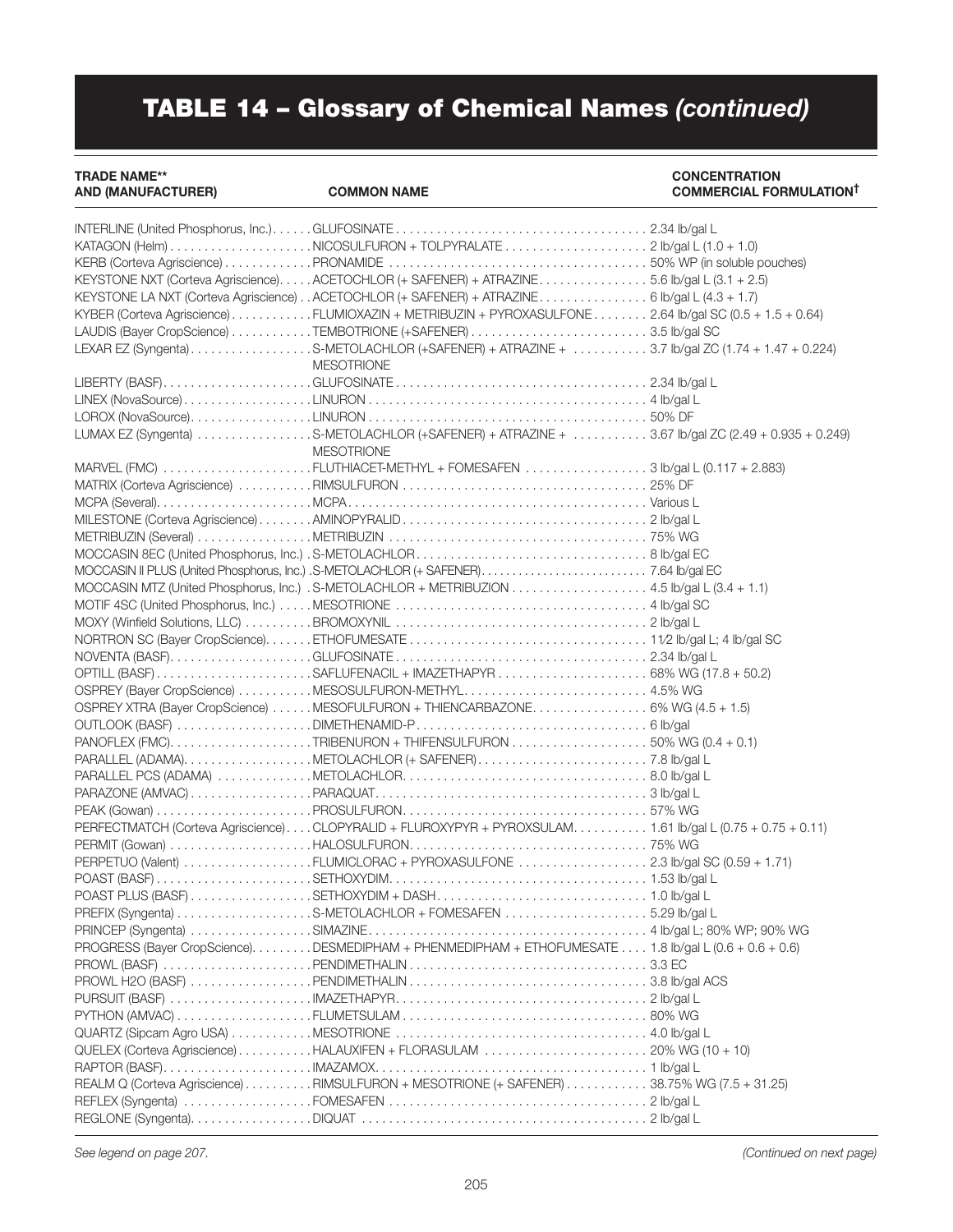#### TRADE NAME\*\* CONCENTRATION

#### COMMERCIAL FORMULATION<sup>†</sup>

| KEYSTONE NXT (Corteva Agriscience)ACETOCHLOR (+ SAFENER) + ATRAZINE5.6 lb/gal L (3.1 + 2.5)               |  |
|-----------------------------------------------------------------------------------------------------------|--|
| KEYSTONE LA NXT (Corteva Agriscience). . ACETOCHLOR (+ SAFENER) + ATRAZINE. 6 lb/gal L (4.3 + 1.7)        |  |
| KYBER (Corteva Agriscience)FLUMIOXAZIN + METRIBUZIN + PYROXASULFONE 2.64 lb/gal SC (0.5 + 1.5 + 0.64)     |  |
|                                                                                                           |  |
| LEXAR EZ (Syngenta) S-METOLACHLOR (+SAFENER) + ATRAZINE + 3.7 lb/gal ZC (1.74 + 1.47 + 0.224)             |  |
| <b>MESOTRIONE</b>                                                                                         |  |
|                                                                                                           |  |
|                                                                                                           |  |
|                                                                                                           |  |
| LUMAX EZ (Syngenta) S-METOLACHLOR (+SAFENER) + ATRAZINE +  3.67 lb/gal ZC (2.49 + 0.935 + 0.249)          |  |
| <b>MESOTRIONE</b>                                                                                         |  |
| MARVEL (FMC) FLUTHIACET-METHYL + FOMESAFEN 3 lb/gal L (0.117 + 2.883)                                     |  |
|                                                                                                           |  |
|                                                                                                           |  |
|                                                                                                           |  |
|                                                                                                           |  |
|                                                                                                           |  |
|                                                                                                           |  |
|                                                                                                           |  |
| MOCCASIN MTZ (United Phosphorus, Inc.) . S-METOLACHLOR + METRIBUZION 4.5 lb/gal L (3.4 + 1.1)             |  |
|                                                                                                           |  |
|                                                                                                           |  |
|                                                                                                           |  |
|                                                                                                           |  |
| OPTILL (BASF) SAFLUFENACIL + IMAZETHAPYR  68% WG (17.8 + 50.2)                                            |  |
|                                                                                                           |  |
| OSPREY XTRA (Bayer CropScience) MESOFULFURON + THIENCARBAZONE 6% WG (4.5 + 1.5)                           |  |
|                                                                                                           |  |
|                                                                                                           |  |
|                                                                                                           |  |
|                                                                                                           |  |
|                                                                                                           |  |
|                                                                                                           |  |
| PERFECTMATCH (Corteva Agriscience)CLOPYRALID + FLUROXYPYR + PYROXSULAM 1.61 lb/gal L (0.75 + 0.75 + 0.11) |  |
|                                                                                                           |  |
|                                                                                                           |  |
| PERPETUO (Valent) FLUMICLORAC + PYROXASULFONE 2.3 lb/gal SC (0.59 + 1.71)                                 |  |
|                                                                                                           |  |
|                                                                                                           |  |
| PREFIX (Syngenta) S-METOLACHLOR + FOMESAFEN 5.29 Ib/gal L                                                 |  |
|                                                                                                           |  |
| PROGRESS (Bayer CropScience). DESMEDIPHAM + PHENMEDIPHAM + ETHOFUMESATE 1.8 lb/gal L (0.6 + 0.6 + 0.6)    |  |
|                                                                                                           |  |
|                                                                                                           |  |
|                                                                                                           |  |
|                                                                                                           |  |
|                                                                                                           |  |
|                                                                                                           |  |
|                                                                                                           |  |
| REALM Q (Corteva Agriscience) RIMSULFURON + MESOTRIONE (+ SAFENER) 38.75% WG (7.5 + 31.25)                |  |
|                                                                                                           |  |
|                                                                                                           |  |
|                                                                                                           |  |

*See legend on page 207. (Continued on next page)*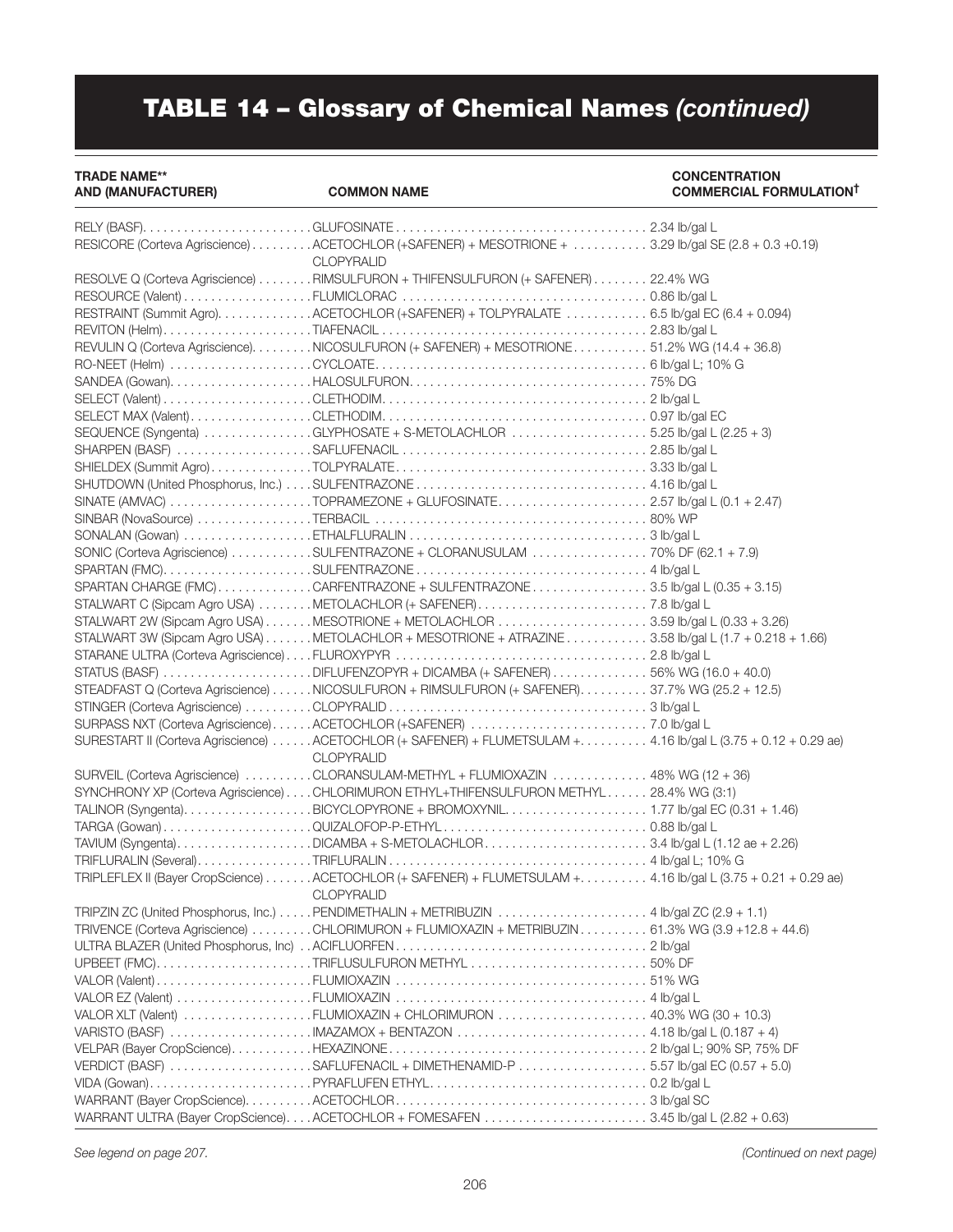### TRADE NAME\*\* CONCENTRATION

COMMERCIAL FORMULATION<sup>†</sup>

| RESICORE (Corteva Agriscience) ACETOCHLOR (+SAFENER) + MESOTRIONE + 3.29 lb/gal SE (2.8 + 0.3 +0.19)                               |  |
|------------------------------------------------------------------------------------------------------------------------------------|--|
| <b>CLOPYRALID</b>                                                                                                                  |  |
| RESOLVE Q (Corteva Agriscience) RIMSULFURON + THIFENSULFURON (+ SAFENER) 22.4% WG                                                  |  |
|                                                                                                                                    |  |
| RESTRAINT (Summit Agro). ACETOCHLOR (+SAFENER) + TOLPYRALATE 6.5 lb/gal EC (6.4 + 0.094)                                           |  |
|                                                                                                                                    |  |
| REVULIN Q (Corteva Agriscience). NICOSULFURON (+ SAFENER) + MESOTRIONE. 51.2% WG (14.4 + 36.8)                                     |  |
|                                                                                                                                    |  |
|                                                                                                                                    |  |
|                                                                                                                                    |  |
|                                                                                                                                    |  |
| SEQUENCE (Syngenta) GLYPHOSATE + S-METOLACHLOR 5.25 lb/gal L (2.25 + 3)                                                            |  |
|                                                                                                                                    |  |
|                                                                                                                                    |  |
|                                                                                                                                    |  |
|                                                                                                                                    |  |
|                                                                                                                                    |  |
|                                                                                                                                    |  |
| SONIC (Corteva Agriscience) SULFENTRAZONE + CLORANUSULAM 70% DF (62.1 + 7.9)                                                       |  |
|                                                                                                                                    |  |
| SPARTAN CHARGE (FMC)CARFENTRAZONE + SULFENTRAZONE3.5 lb/gal L (0.35 + 3.15)                                                        |  |
|                                                                                                                                    |  |
|                                                                                                                                    |  |
| STALWART 3W (Sipcam Agro USA) METOLACHLOR + MESOTRIONE + ATRAZINE 3.58 lb/gal L (1.7 + 0.218 + 1.66)                               |  |
|                                                                                                                                    |  |
| STATUS (BASF) DIFLUFENZOPYR + DICAMBA (+ SAFENER) 56% WG (16.0 + 40.0)                                                             |  |
| STEADFAST Q (Corteva Agriscience) NICOSULFURON + RIMSULFURON (+ SAFENER). 37.7% WG (25.2 + 12.5)                                   |  |
|                                                                                                                                    |  |
|                                                                                                                                    |  |
|                                                                                                                                    |  |
| SURESTART II (Corteva Agriscience) ACETOCHLOR (+ SAFENER) + FLUMETSULAM +4.16 lb/gal L (3.75 + 0.12 + 0.29 ae)                     |  |
| <b>CLOPYRALID</b>                                                                                                                  |  |
| SURVEIL (Corteva Agriscience) CLORANSULAM-METHYL + FLUMIOXAZIN  48% WG (12 + 36)                                                   |  |
| SYNCHRONY XP (Corteva Agriscience) CHLORIMURON ETHYL+THIFENSULFURON METHYL 28.4% WG (3:1)                                          |  |
| TALINOR (Syngenta)BICYCLOPYRONE + BROMOXYNIL1.77 Ib/gal EC (0.31 + 1.46)                                                           |  |
|                                                                                                                                    |  |
| TAVIUM (Syngenta)DICAMBA + S-METOLACHLOR3.4 lb/gal L (1.12 ae + 2.26)                                                              |  |
|                                                                                                                                    |  |
| TRIPLEFLEX II (Bayer CropScience) ACETOCHLOR (+ SAFENER) + FLUMETSULAM +4.16 lb/gal L (3.75 + 0.21 + 0.29 ae)<br><b>CLOPYRALID</b> |  |
| TRIPZIN ZC (United Phosphorus, Inc.) PENDIMETHALIN + METRIBUZIN  4 Ib/aal ZC (2.9 + 1.1)                                           |  |
| TRIVENCE (Corteva Agriscience) CHLORIMURON + FLUMIOXAZIN + METRIBUZIN 61.3% WG (3.9 +12.8 + 44.6)                                  |  |
|                                                                                                                                    |  |
| UPBEET (FMC)TRIFLUSULFURON METHYL 50% DF                                                                                           |  |
|                                                                                                                                    |  |
|                                                                                                                                    |  |
| VALOR XLT (Valent) FLUMIOXAZIN + CHLORIMURON  40.3% WG (30 + 10.3)                                                                 |  |
|                                                                                                                                    |  |
|                                                                                                                                    |  |
| VERDICT (BASF) SAFLUFENACIL + DIMETHENAMID-P 557 lb/gal EC (0.57 + 5.0)                                                            |  |
|                                                                                                                                    |  |
|                                                                                                                                    |  |
| WARRANT ULTRA (Bayer CropScience)ACETOCHLOR + FOMESAFEN 3.45 lb/gal L (2.82 + 0.63)                                                |  |

*See legend on page 207. (Continued on next page)*